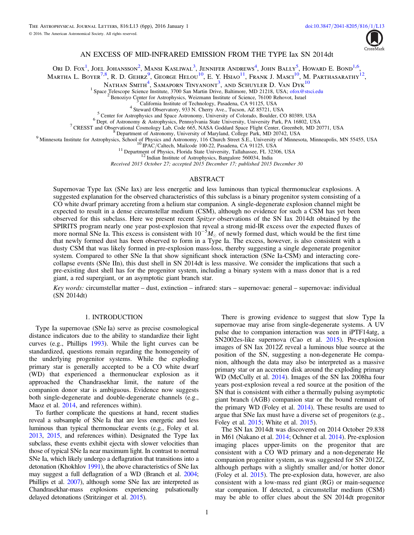

# AN EXCESS OF MID-INFRARED EMISSION FROM THE TYPE Iax SN 2014dt

Ori D. Fox<sup>[1](#page-0-0)</sup>, Joel Johansson<sup>[2](#page-0-1)</sup>, Mansi Kasliwal<sup>[3](#page-0-2)</sup>, Jennifer Andrews<sup>[4](#page-0-3)</sup>, John Bally<sup>[5](#page-0-4)</sup>, Howard E. Bond<sup>1[,6](#page-0-5)</sup>,

Martha L. Boyer<sup>[7](#page-0-6)[,8](#page-0-7)</sup>, R. D. Gehrz<sup>[9](#page-0-8)</sup>, George Helou<sup>[10](#page-0-9)</sup>, E. Y. Hsiao<sup>[11](#page-0-10)</sup>, Frank J. Masci<sup>10</sup>, M. Parthasarathy<sup>[12](#page-0-11)</sup>,

Nathan Smith<sup>[4](#page-0-3)</sup>, Samaporn Tinyanont<sup>[3](#page-0-2)</sup>, and Schuyler D. Van Dyk<sup>[10](#page-0-9)</sup>

<span id="page-0-9"></span><span id="page-0-8"></span>

<span id="page-0-7"></span><span id="page-0-6"></span><span id="page-0-5"></span><span id="page-0-4"></span><span id="page-0-3"></span><span id="page-0-2"></span><span id="page-0-1"></span><span id="page-0-0"></span><sup>1</sup> Space Telescope Science Institute, 3700 San Martin Drive, Baltimore, MD 21218, USA; [ofox@stsci.edu](mailto:ofox@stsci.edu) <br>
<sup>2</sup> Benoziyo Center for Astrophysics, Weizmann Institute of Science, 76100 Rehovot, Israel<br>
<sup>3</sup> California Institute

Received 2015 October 27; accepted 2015 December 17; published 2015 December 30

## ABSTRACT

<span id="page-0-11"></span><span id="page-0-10"></span>Supernovae Type Iax (SNe Iax) are less energetic and less luminous than typical thermonuclear explosions. A suggested explanation for the observed characteristics of this subclass is a binary progenitor system consisting of a CO white dwarf primary accreting from a helium star companion. A single-degenerate explosion channel might be expected to result in a dense circumstellar medium (CSM), although no evidence for such a CSM has yet been observed for this subclass. Here we present recent Spitzer observations of the SN Iax 2014dt obtained by the SPIRITS program nearly one year post-explosion that reveal a strong mid-IR excess over the expected fluxes of more normal SNe Ia. This excess is consistent with  $10^{-5}M_{\odot}$  of newly formed dust, which would be the first time that newly formed dust has been observed to form in a Type Ia. The excess, however, is also consistent with a dusty CSM that was likely formed in pre-explosion mass-loss, thereby suggesting a single degenerate progenitor system. Compared to other SNe Ia that show significant shock interaction (SNe Ia-CSM) and interacting corecollapse events (SNe IIn), this dust shell in SN 2014dt is less massive. We consider the implications that such a pre-existing dust shell has for the progenitor system, including a binary system with a mass donor that is a red giant, a red supergiant, or an asymptotic giant branch star.

Key words: circumstellar matter – dust, extinction – infrared: stars – supernovae: general – supernovae: individual (SN 2014dt)

### 1. INTRODUCTION

Type Ia supernovae (SNe Ia) serve as precise cosmological distance indicators due to the ability to standardize their light curves (e.g., Phillips [1993](#page-5-0)). While the light curves can be standardized, questions remain regarding the homogeneity of the underlying progenitor systems. While the exploding primary star is generally accepted to be a CO white dwarf (WD) that experienced a thermonuclear explosion as it approached the Chandrasekhar limit, the nature of the companion donor star is ambiguous. Evidence now suggests both single-degenerate and double-degenerate channels (e.g., Maoz et al.  $2014$ , and references within).

To further complicate the questions at hand, recent studies reveal a subsample of SNe Ia that are less energetic and less luminous than typical thermonuclear events (e.g., Foley et al. [2013](#page-5-2), [2015,](#page-5-3) and references within). Designated the Type Iax subclass, these events exhibit ejecta with slower velocities than those of typical SNe Ia near maximum light. In contrast to normal SNe Ia, which likely undergo a deflagration that transitions into a detonation (Khokhlov [1991](#page-5-4)), the above characteristics of SNe Iax may suggest a full deflagration of a WD (Branch et al. [2004](#page-5-5); Phillips et al. [2007](#page-5-6)), although some SNe Iax are interpreted as Chandrasekhar-mass explosions experiencing pulsationally delayed detonations (Stritzinger et al. [2015](#page-5-7)).

There is growing evidence to suggest that slow Type Ia supernovae may arise from single-degenerate systems. A UV pulse due to companion interaction was seen in iPTF14atg, a SN2002es-like supernova (Cao et al. [2015](#page-5-8)). Pre-explosion images of SN Iax 2012Z reveal a luminous blue source at the position of the SN, suggesting a non-degenerate He companion, although the data may also be interpreted as a massive primary star or an accretion disk around the exploding primary WD (McCully et al. [2014](#page-5-9)). Images of the SN Iax 2008ha four years post-explosion reveal a red source at the position of the SN that is consistent with either a thermally pulsing asymptotic giant branch (AGB) companion star or the bound remnant of the primary WD (Foley et al. [2014](#page-5-10)). These results are used to argue that SNe Iax must have a diverse set of progenitors (e.g., Foley et al. [2015;](#page-5-3) White et al. [2015](#page-5-11)).

The SN Iax 2014dt was discovered on 2014 October 29.838 in M61 (Nakano et al. [2014;](#page-5-12) Ochner et al. [2014](#page-5-13)). Pre-explosion imaging places upper-limits on the progenitor that are consistent with a CO WD primary and a non-degenerate He companion progenitor system, as was suggested for SN 2012Z, although perhaps with a slightly smaller and/or hotter donor (Foley et al. [2015](#page-5-3)). The pre-explosion data, however, are also consistent with a low-mass red giant (RG) or main-sequence star companion. If detected, a circumstellar medium (CSM) may be able to offer clues about the SN 2014dt progenitor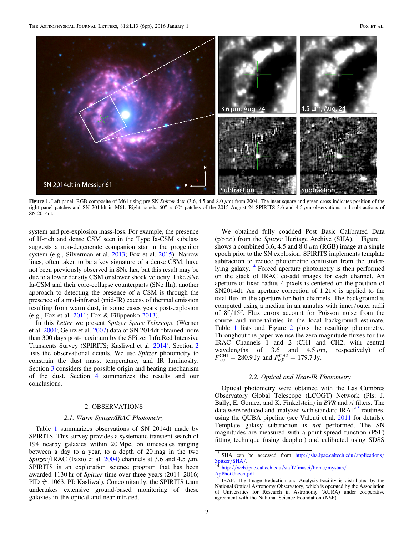<span id="page-1-2"></span>

Figure 1. Left panel: RGB composite of M61 using pre-SN Spitzer data (3.6, 4.5 and 8.0  $\mu$ m) from 2004. The inset square and green cross indicates position of the right panel patches and SN 2014dt in M61. Right panels:  $60'' \times 60''$  patches of the 2015 August 24 SPIRITS 3.6 and 4.5  $\mu$ m observations and subtractions of SN 2014dt.

system and pre-explosion mass-loss. For example, the presence of H-rich and dense CSM seen in the Type Ia-CSM subclass suggests a non-degenerate companion star in the progenitor system (e.g., Silverman et al. [2013](#page-5-14); Fox et al. [2015](#page-5-15)). Narrow lines, often taken to be a key signature of a dense CSM, have not been previously observed in SNe Iax, but this result may be due to a lower density CSM or slower shock velocity. Like SNe Ia-CSM and their core-collapse counterparts (SNe IIn), another approach to detecting the presence of a CSM is through the presence of a mid-infrared (mid-IR) excess of thermal emission resulting from warm dust, in some cases years post-explosion (e.g., Fox et al. [2011](#page-5-16); Fox & Filippenko [2013](#page-5-17)).

In this Letter we present *Spitzer Space Telescope* (Werner et al. [2004](#page-5-18); Gehrz et al. [2007](#page-5-19)) data of SN 2014dt obtained more than 300 days post-maximum by the SPitzer InfraRed Intensive Transients Survey (SPIRITS; Kasliwal et al. [2014](#page-5-20)). Section [2](#page-1-0) lists the observational details. We use Spitzer photometry to constrain the dust mass, temperature, and IR luminosity. Section [3](#page-3-0) considers the possible origin and heating mechanism of the dust. Section [4](#page-4-0) summarizes the results and our conclusions.

# 2. OBSERVATIONS

## 2.1. Warm Spitzer/IRAC Photometry

<span id="page-1-0"></span>Table [1](#page-2-0) summarizes observations of SN 2014dt made by SPIRITS. This survey provides a systematic transient search of 194 nearby galaxies within 20 Mpc, on timescales ranging between a day to a year, to a depth of 20 mag in the two Spitzer/IRAC (Fazio et al. [2004](#page-5-21)) channels at 3.6 and 4.5  $\mu$ m. SPIRITS is an exploration science program that has been awarded 1130 hr of Spitzer time over three years (2014–2016; PID #11063, PI: Kasliwal). Concomitantly, the SPIRITS team undertakes extensive ground-based monitoring of these galaxies in the optical and near-infrared.

We obtained fully coadded Post Basic Calibrated Data (pbcd) from the Spitzer Heritage Archive (SHA).<sup>[13](#page-1-1)</sup> Figure [1](#page-1-2) shows a combined 3.6, 4.5 and 8.0  $\mu$ m (RGB) image at a single epoch prior to the SN explosion. SPIRITS implements template subtraction to reduce photometric confusion from the under-lying galaxy.<sup>[14](#page-1-3)</sup> Forced aperture photometry is then performed on the stack of IRAC co-add images for each channel. An aperture of fixed radius 4 pixels is centered on the position of SN2014dt. An aperture correction of  $1.21 \times$  is applied to the total flux in the aperture for both channels. The background is computed using a median in an annulus with inner/outer radii of 8″/15″. Flux errors account for Poisson noise from the source and uncertainties in the local background estimate. Table [1](#page-2-0) lists and Figure [2](#page-2-1) plots the resulting photometry. Throughout the paper we use the zero magnitude fluxes for the IRAC Channels 1 and 2 (CH1 and CH2, with central wavelengths of 3.6 and  $4.5 \mu m$ , respectively) of  $F_{\nu,0}^{\text{CH1}} = 280.9 \text{ Jy}$  and  $F_{\nu,0}^{\text{CH2}} = 179.7 \text{ Jy}$ .

### 2.2. Optical and Near-IR Photometry

Optical photometry were obtained with the Las Cumbres Observatory Global Telescope (LCOGT) Network (PIs: J. Bally, E. Gomez, and K. Finkelstein) in BVR and ri filters. The data were reduced and analyzed with standard  $IRAF<sup>15</sup>$  $IRAF<sup>15</sup>$  $IRAF<sup>15</sup>$  routines, using the QUBA pipeline (see Valenti et al. [2011](#page-5-22) for details). Template galaxy subtraction is not performed. The SN magnitudes are measured with a point-spread function (PSF) fitting technique (using daophot) and calibrated using SDSS

<span id="page-1-1"></span><sup>&</sup>lt;sup>13</sup> SHA can be accessed from http://[sha.ipac.caltech.edu](http://sha.ipac.caltech.edu/applications/Spitzer/SHA/)/applications/<br>Spitzer/SHA/.<br><sup>14</sup> http://web.ipac.caltech.edu/etoff/fmacci/home/mustate/

<span id="page-1-3"></span>http://[web.ipac.caltech.edu](http://web.ipac.caltech.edu/staff/fmasci/home/mystats/ApPhotUncert.pdf)/staff/fmasci/home/mystats/

[ApPhotUncert.pdf](http://web.ipac.caltech.edu/staff/fmasci/home/mystats/ApPhotUncert.pdf)

<span id="page-1-4"></span><sup>15</sup> IRAF: The Image Reduction and Analysis Facility is distributed by the 15 IRAF: The Image Reduction and Analysis Facility is distributed by the National Optical Astronomy Observatory, which is operated by the Association of Universities for Research in Astronomy (AURA) under cooperative agreement with the National Science Foundation (NSF).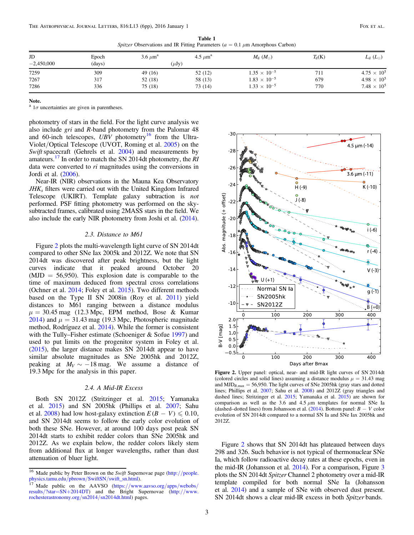Spitzer Observations and IR Fitting Parameters ( $a = 0.1 \mu$ m Amorphous Carbon)

<span id="page-2-0"></span>

| JD           | Epoch  | $3.6 \ \mu m^a$ | 4.5 $\mu$ m <sup>a</sup> | $M_{\rm d}~(M_{\odot})$ | $T_{d}(K)$ | $L_{\rm d}\ (L_{\odot})$ |
|--------------|--------|-----------------|--------------------------|-------------------------|------------|--------------------------|
| $-2,450,000$ | (days) | $(\mu Jy)$      |                          |                         |            |                          |
| 7259         | 309    | 49 (16)         | 52 (12)                  | $1.35 \times 10^{-5}$   | 711        | $4.75 \times 10^{5}$     |
| 7267         | 317    | 52 (18)         | 58 (13)                  | $1.83 \times 10^{-5}$   | 679        | $4.98 \times 10^{5}$     |
| 7286         | 336    | 75 (18)         | 73 (14)                  | $1.33 \times 10^{-5}$   | 770        | $7.48 \times 10^{5}$     |

 $\frac{a}{1\sigma}$  uncertainties are given in parentheses.

photometry of stars in the field. For the light curve analysis we also include gri and R-band photometry from the Palomar 48 and 60-inch telescopes, UBV photometry<sup>[16](#page-2-2)</sup> from the Ultra-Violet/Optical Telescope (UVOT, Roming et al. [2005](#page-5-23)) on the Swift spacecraft (Gehrels et al. [2004](#page-5-24)) and measurements by amateurs.<sup>[17](#page-2-3)</sup> In order to match the SN 2014dt photometry, the RI data were converted to ri magnitudes using the conversions in Jordi et al. ([2006](#page-5-25)).

Near-IR (NIR) observations in the Mauna Kea Observatory  $JHK<sub>s</sub>$  filters were carried out with the United Kingdom Infrared Telescope (UKIRT). Template galaxy subtraction is not performed. PSF fitting photometry was performed on the skysubtracted frames, calibrated using 2MASS stars in the field. We also include the early NIR photometry from Joshi et al. ([2014](#page-5-26)).

### 2.3. Distance to M61

Figure [2](#page-2-1) plots the multi-wavelength light curve of SN 2014dt compared to other SNe Iax 2005k and 2012Z. We note that SN 2014dt was discovered after peak brightness, but the light curves indicate that it peaked around October 20  $(MJD = 56,950)$ . This explosion date is comparable to the time of maximum deduced from spectral cross correlations (Ochner et al. [2014;](#page-5-13) Foley et al. [2015](#page-5-3)). Two different methods based on the Type II SN 2008in (Roy et al. [2011](#page-5-27)) yield distances to M61 ranging between a distance modulus  $\mu = 30.45$  mag (12.3 Mpc, EPM method, Bose & Kumar [2014](#page-5-28)) and  $\mu = 31.43$  mag (19.3 Mpc, Photospheric magnitude method, Rodríguez et al. [2014](#page-5-29)). While the former is consistent with the Tully–Fisher estimate (Schoeniger & Sofue [1997](#page-5-30)) and used to put limits on the progenitor system in Foley et al. ([2015](#page-5-3)), the larger distance makes SN 2014dt appear to have similar absolute magnitudes as SNe 2005hk and 2012Z, peaking at  $M_V \sim -18$  mag. We assume a distance of 19.3 Mpc for the analysis in this paper.

#### 2.4. A Mid-IR Excess

Both SN 2012Z (Stritzinger et al. [2015;](#page-5-7) Yamanaka et al. [2015](#page-5-31)) and SN 2005hk (Phillips et al. [2007](#page-5-6); Sahu et al. [2008](#page-5-32)) had low host-galaxy extinction  $E(B - V) \leq 0.10$ , and SN 2014dt seems to follow the early color evolution of both these SNe. However, at around 100 days post peak SN 2014dt starts to exhibit redder colors than SNe 2005hk and 2012Z. As we explain below, the redder colors likely stem from additional flux at longer wavelengths, rather than dust attenuation of bluer light.

<span id="page-2-1"></span>

Figure 2. Upper panel: optical, near- and mid-IR light curves of SN 2014dt (colored circles and solid lines) assuming a distance modulus  $\mu = 31.43$  mag and  $MJD_{B,\text{max}} = 56,950$ . The light curves of SNe 2005hk (gray stars and dotted lines; Phillips et al. [2007;](#page-5-6) Sahu et al. [2008](#page-5-32)) and 2012Z (gray triangles and dashed lines; Stritzinger et al. [2015;](#page-5-7) Yamanaka et al. [2015](#page-5-31)) are shown for comparison as well as the 3.6 and 4.5  $\mu$ m templates for normal SNe Ia (dashed–dotted lines) from Johansson et al.  $(2014)$  $(2014)$  $(2014)$ . Bottom panel:  $B - V$  color evolution of SN 2014dt compared to a normal SN Ia and SNe Iax 2005hk and 2012Z.

Figure [2](#page-2-1) shows that SN 2014dt has plateaued between days 298 and 326. Such behavior is not typical of thermonuclear SNe Ia, which follow radioactive decay rates at these epochs, even in the mid-IR (Johansson et al. [2014](#page-5-33)). For a comparison, Figure [3](#page-3-1) plots the SN 2014dt Spitzer Channel 2 photometry over a mid-IR template compiled for both normal SNe Ia (Johansson et al. [2014](#page-5-33)) and a sample of SNe with observed dust present. SN 2014dt shows a clear mid-IR excess in both Spitzer bands.

<span id="page-2-2"></span><sup>&</sup>lt;sup>16</sup> Made public by Peter Brown on the *Swift* Supernovae page (http://[people.](http://people.physics.tamu.edu/pbrown/SwiftSN/swift_sn.html)<br>physics.tamu.edu/pbrown/SwiftSN/swift\_sn.html).<br><sup>17</sup> Made, public, cn. the AAVSO (https://www.comes

<span id="page-2-3"></span>Made public on the AAVSO (https://[www.aavso.org](https://www.aavso.org/apps/webobs/results/?star=SN+2014DT)/apps/webobs/ results/?star=SN+[2014DT](https://www.aavso.org/apps/webobs/results/?star=SN+2014DT)) and the Bright Supernovae (http://[www.](http://www.rochesterastronomy.org/sn2014/sn2014dt.html) [rochesterastronomy.org](http://www.rochesterastronomy.org/sn2014/sn2014dt.html)/sn2014/sn2014dt.html) pages.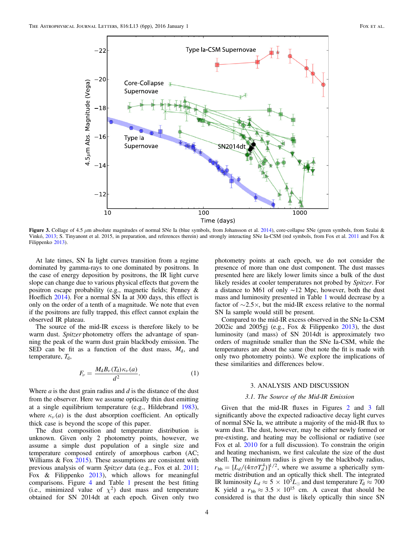<span id="page-3-1"></span>

Figure 3. Collage of 4.5  $\mu$ m absolute magnitudes of normal SNe Ia (blue symbols, from Johansson et al. [2014](#page-5-33)), core-collapse SNe (green symbols, from Szalai & Vinkó, [2013](#page-5-38); S. Tinyanont et al. 2015, in preparation, and references therein) and strongly interacting SNe Ia-CSM (red symbols, from Fox et al. [2011](#page-5-16) and Fox & Filippenko [2013](#page-5-17)).

At late times, SN Ia light curves transition from a regime dominated by gamma-rays to one dominated by positrons. In the case of energy deposition by positrons, the IR light curve slope can change due to various physical effects that govern the positron escape probability (e.g., magnetic fields; Penney & Hoeflich [2014](#page-5-34)). For a normal SN Ia at 300 days, this effect is only on the order of a tenth of a magnitude. We note that even if the positrons are fully trapped, this effect cannot explain the observed IR plateau.

<span id="page-3-2"></span>The source of the mid-IR excess is therefore likely to be warm dust. Spitzer photometry offers the advantage of spanning the peak of the warm dust grain blackbody emission. The SED can be fit as a function of the dust mass,  $M_d$ , and temperature,  $T_d$ ,

$$
F_{\nu} = \frac{M_{\rm d}B_{\nu}(T_{\rm d})\kappa_{\nu}(a)}{d^2}.
$$
 (1)

Where  $a$  is the dust grain radius and  $d$  is the distance of the dust from the observer. Here we assume optically thin dust emitting at a single equilibrium temperature (e.g., Hildebrand [1983](#page-5-35)), where  $\kappa_{\nu}(a)$  is the dust absorption coefficient. An optically thick case is beyond the scope of this paper.

The dust composition and temperature distribution is unknown. Given only 2 photometry points, however, we assume a simple dust population of a single size and temperature composed entirely of amorphous carbon (AC; Williams & Fox [2015](#page-5-36)). These assumptions are consistent with previous analysis of warm Spitzer data (e.g., Fox et al. [2011](#page-5-16); Fox & Filippenko [2013](#page-5-17)), which allows for meaningful comparisons. Figure [4](#page-4-1) and Table [1](#page-2-0) present the best fitting (i.e., minimized value of  $\chi^2$ ) dust mass and temperature obtained for SN 2014dt at each epoch. Given only two

photometry points at each epoch, we do not consider the presence of more than one dust component. The dust masses presented here are likely lower limits since a bulk of the dust likely resides at cooler temperatures not probed by Spitzer. For a distance to M61 of only ∼12 Mpc, however, both the dust mass and luminosity presented in Table [1](#page-2-0) would decrease by a factor of  $\sim$ 2.5 $\times$ , but the mid-IR excess relative to the normal SN Ia sample would still be present.

Compared to the mid-IR excess observed in the SNe Ia-CSM 2002ic and 2005gj (e.g., Fox & Filippenko [2013](#page-5-17)), the dust luminosity (and mass) of SN 2014dt is approximately two orders of magnitude smaller than the SNe Ia-CSM, while the temperatures are about the same (but note the fit is made with only two photometry points). We explore the implications of these similarities and differences below.

# 3. ANALYSIS AND DISCUSSION

### 3.1. The Source of the Mid-IR Emission

<span id="page-3-0"></span>Given that the mid-IR fluxes in Figures [2](#page-2-1) and [3](#page-3-1) fall significantly above the expected radioactive decay light curves of normal SNe Ia, we attribute a majority of the mid-IR flux to warm dust. The dust, however, may be either newly formed or pre-existing, and heating may be collisional or radiative (see Fox et al. [2010](#page-5-37) for a full discussion). To constrain the origin and heating mechanism, we first calculate the size of the dust shell. The minimum radius is given by the blackbody radius,  $r_{bb} = [L_d/(4\pi\sigma T_d^4)]^{1/2}$ , where we assume a spherically symmetric distribution and an optically thick shell. The integrated IR luminosity  $L_d \approx 5 \times 10^5 L_{\odot}$  and dust temperature  $T_d \approx 700$ K yield a  $r_{bb} \approx 3.5 \times 10^{15}$  cm. A caveat that should be considered is that the dust is likely optically thin since SN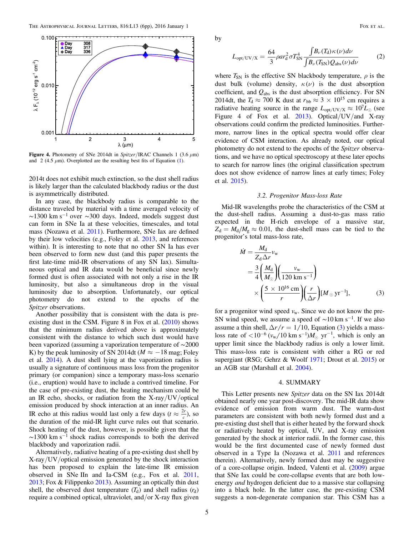<span id="page-4-1"></span>

Figure 4. Photometry of SNe 2014dt in Spitzer/IRAC Channels 1 (3.6  $\mu$ m) and 2 (4.5  $\mu$ m). Overplotted are the resulting best fits of Equation ([1](#page-3-2)).

2014t does not exhibit much extinction, so the dust shell radius is likely larger than the calculated blackbody radius or the dust is asymmetrically distributed.

In any case, the blackbody radius is comparable to the distance traveled by material with a time averaged velocity of  $\sim$ 1300 km s<sup>-1</sup> over  $\sim$ 300 days. Indeed, models suggest dust can form in SNe Ia at these velocities, timescales, and total mass (Nozawa et al. [2011](#page-5-39)). Furthermore, SNe Iax are defined by their low velocities (e.g., Foley et al. [2013](#page-5-2), and references within). It is interesting to note that no other SN Ia has ever been observed to form new dust (and this paper presents the first late-time mid-IR observations of any SN Iax). Simultaneous optical and IR data would be beneficial since newly formed dust is often associated with not only a rise in the IR luminosity, but also a simultaneous drop in the visual luminosity due to absorption. Unfortunately, our optical photometry do not extend to the epochs of the Spitzer observations.

Another possibility that is consistent with the data is preexisting dust in the CSM. Figure 8 in Fox et al. ([2010](#page-5-37)) shows that the minimum radius derived above is approximately consistent with the distance to which such dust would have been vaporized (assuming a vaporization temperature of ∼2000 K) by the peak luminosity of SN 2014dt ( $M \approx -18$  mag; Foley et al. [2014](#page-5-10)). A dust shell lying at the vaporization radius is usually a signature of continuous mass loss from the progenitor primary (or companion) since a temporary mass-loss scenario (i.e., eruption) would have to include a contrived timeline. For the case of pre-existing dust, the heating mechanism could be an IR echo, shocks, or radiation from the X-ray/UV/optical emission produced by shock interaction at an inner radius. An IR echo at this radius would last only a few days ( $t \approx \frac{2r}{c}$ ), so the duration of the mid-IR light curve rules out that scenario. Shock heating of the dust, however, is possible given that the  $\sim$ 1300 km s<sup>-1</sup> shock radius corresponds to both the derived blackbody and vaporization radii.

Alternatively, radiative heating of a pre-existing dust shell by X-ray/UV/optical emission generated by the shock interaction has been proposed to explain the late-time IR emission observed in SNe IIn and Ia-CSM (e.g., Fox et al. [2011,](#page-5-16) [2013;](#page-5-40) Fox & Filippenko [2013](#page-5-17)). Assuming an optically thin dust shell, the observed dust temperature  $(T_d)$  and shell radius  $(r_d)$ require a combined optical, ultraviolet, and/or X-ray flux given

by

$$
L_{\rm opt/UV/X} = \frac{64}{3} \rho a r_{\rm d}^2 \sigma T_{\rm SN}^4 \frac{\int B_{\nu}(T_{\rm d}) \kappa(\nu) d\nu}{\int B_{\nu}(T_{\rm SN}) Q_{\rm abs}(\nu) d\nu} \tag{2}
$$

where  $T_{SN}$  is the effective SN blackbody temperature,  $\rho$  is the dust bulk (volume) density,  $\kappa(\nu)$  is the dust absorption coefficient, and *Q*abs is the dust absorption efficiency. For SN 2014dt, the  $T_d \approx 700$  K dust at  $r_{bb} \approx 3 \times 10^{15}$  cm requires a radiative heating source in the range  $L_{\text{opt/UV/X}} \approx 10^{7} L_{\odot}$  (see Figure 4 of Fox et al. [2013](#page-5-40)). Optical/UV/and X-ray observations could confirm the predicted luminosities. Furthermore, narrow lines in the optical spectra would offer clear evidence of CSM interaction. As already noted, our optical photometry do not extend to the epochs of the Spitzer observations, and we have no optical spectroscopy at these later epochs to search for narrow lines (the original classification spectrum does not show evidence of narrow lines at early times; Foley et al. [2015](#page-5-3)).

### 3.2. Progenitor Mass-loss Rate

<span id="page-4-2"></span>Mid-IR wavelengths probe the characteristics of the CSM at the dust-shell radius. Assuming a dust-to-gas mass ratio expected in the H-rich envelope of a massive star,  $Z_d = M_d/M_g \approx 0.01$ , the dust-shell mass can be tied to the progenitor's total mass-loss rate,

$$
\dot{M} = \frac{M_{\rm d}}{Z_{\rm d} \Delta r} v_{\rm w}
$$
\n
$$
= \frac{3}{4} \left( \frac{M_{\rm d}}{M_{\odot}} \right) \left( \frac{v_{\rm w}}{120 \text{ km s}^{-1}} \right)
$$
\n
$$
\times \left( \frac{5 \times 10^{16} \text{ cm}}{r} \right) \left( \frac{r}{\Delta r} \right) [M_{\odot} \text{ yr}^{-1}], \tag{3}
$$

for a progenitor wind speed  $v_w$ . Since we do not know the pre-SN wind speed, we assume a speed of  $\sim$ 10 km s<sup>-1</sup>. If we also assume a thin shell,  $\Delta r/r = 1/10$ , Equation ([3](#page-4-2)) yields a massloss rate of  $\langle 10^{-6} (v_w/10 \text{ km s}^{-1}) M_{\odot} \text{ yr}^{-1}$ , which is only an upper limit since the blackbody radius is only a lower limit. This mass-loss rate is consistent with either a RG or red supergiant (RSG; Gehrz & Woolf [1971](#page-5-41); Drout et al. [2015](#page-5-42)) or an AGB star (Marshall et al. [2004](#page-5-43)).

## 4. SUMMARY

<span id="page-4-0"></span>This Letter presents new Spitzer data on the SN Iax 2014dt obtained nearly one year post-discovery. The mid-IR data show evidence of emission from warm dust. The warm-dust parameters are consistent with both newly formed dust and a pre-existing dust shell that is either heated by the forward shock or radiatively heated by optical, UV, and X-ray emission generated by the shock at interior radii. In the former case, this would be the first documented case of newly formed dust observed in a Type Ia (Nozawa et al. [2011](#page-5-39) and references therein). Alternatively, newly formed dust may be suggestive of a core-collapse origin. Indeed, Valenti et al. ([2009](#page-5-44)) argue that SNe Iax could be core-collapse events that are both lowenergy *and* hydrogen deficient due to a massive star collapsing into a black hole. In the latter case, the pre-existing CSM suggests a non-degenerate companion star. This CSM has a